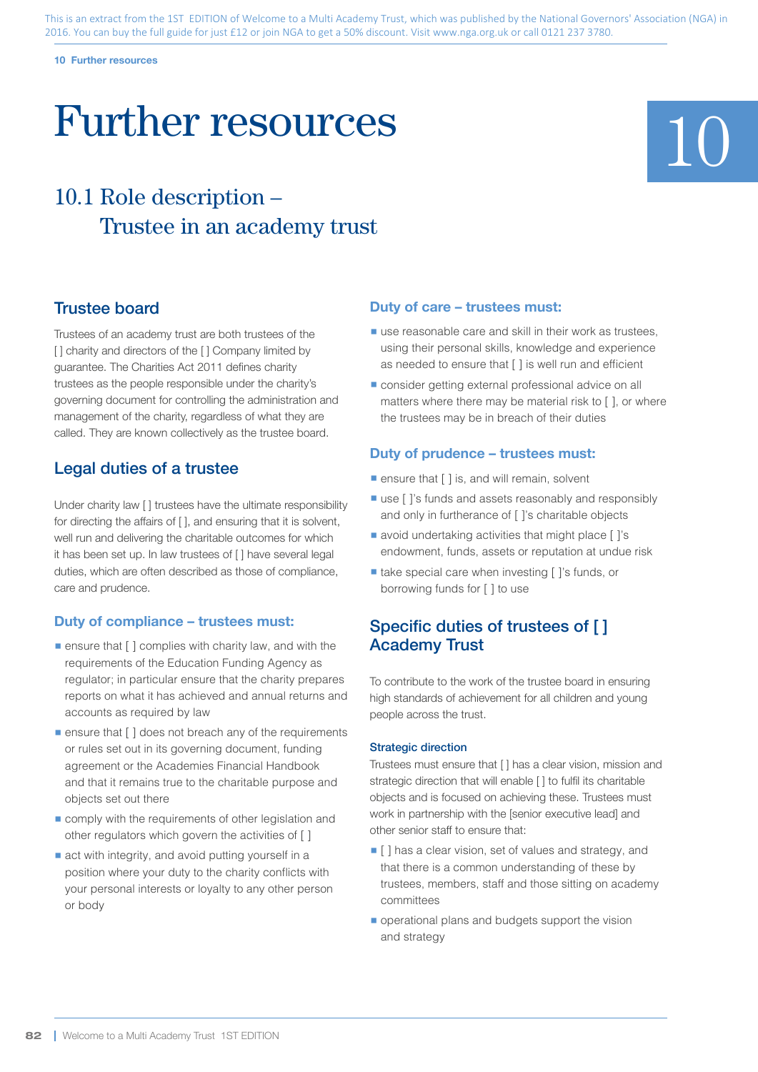#### **10 Further resources**

# Further resources

## 10.1 Role description – Trustee in an academy trust

### Trustee board

Trustees of an academy trust are both trustees of the [] charity and directors of the [] Company limited by guarantee. The Charities Act 2011 defines charity trustees as the people responsible under the charity's governing document for controlling the administration and management of the charity, regardless of what they are called. They are known collectively as the trustee board.

## Legal duties of a trustee

Under charity law [ ] trustees have the ultimate responsibility for directing the affairs of  $\lceil \cdot \rceil$ , and ensuring that it is solvent, well run and delivering the charitable outcomes for which it has been set up. In law trustees of [ ] have several legal duties, which are often described as those of compliance, care and prudence.

#### **Duty of compliance – trustees must:**

- $\blacksquare$  ensure that  $\lceil \cdot \rceil$  complies with charity law, and with the requirements of the Education Funding Agency as regulator; in particular ensure that the charity prepares reports on what it has achieved and annual returns and accounts as required by law
- ensure that [ ] does not breach any of the requirements or rules set out in its governing document, funding agreement or the Academies Financial Handbook and that it remains true to the charitable purpose and objects set out there
- comply with the requirements of other legislation and other regulators which govern the activities of [ ]
- act with integrity, and avoid putting yourself in a position where your duty to the charity conflicts with your personal interests or loyalty to any other person or body

#### **Duty of care – trustees must:**

- use reasonable care and skill in their work as trustees, using their personal skills, knowledge and experience as needed to ensure that [ ] is well run and efficient
- consider getting external professional advice on all matters where there may be material risk to [ ], or where the trustees may be in breach of their duties

#### **Duty of prudence – trustees must:**

- ensure that [ ] is, and will remain, solvent
- use [ ]'s funds and assets reasonably and responsibly and only in furtherance of [ ]'s charitable objects
- avoid undertaking activities that might place [ ]'s endowment, funds, assets or reputation at undue risk
- take special care when investing [ 1's funds, or borrowing funds for [ ] to use

## Specific duties of trustees of [ ] Academy Trust

To contribute to the work of the trustee board in ensuring high standards of achievement for all children and young people across the trust.

#### Strategic direction

Trustees must ensure that [ ] has a clear vision, mission and strategic direction that will enable [ ] to fulfil its charitable objects and is focused on achieving these. Trustees must work in partnership with the [senior executive lead] and other senior staff to ensure that:

- [ ] has a clear vision, set of values and strategy, and that there is a common understanding of these by trustees, members, staff and those sitting on academy committees
- operational plans and budgets support the vision and strategy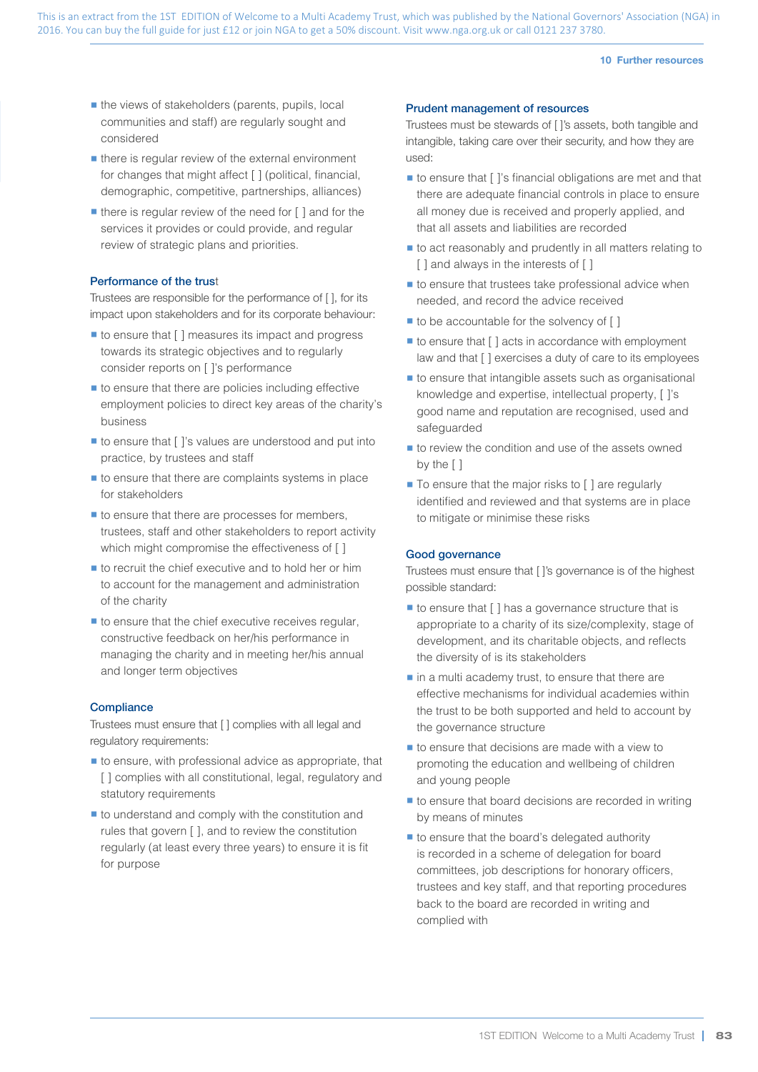#### **10 Further resources**

- the views of stakeholders (parents, pupils, local<br>communities and staff) are regularly sought and<br>considered<br>there is regular review of the external environme<br>for changes that might affect [ ] (political, financ communities and staff) are regularly sought and considered
	- there is regular review of the external environment for changes that might affect [ ] (political, financial, demographic, competitive, partnerships, alliances)
	- $\blacksquare$  there is regular review of the need for  $\lceil \cdot \rceil$  and for the services it provides or could provide, and regular review of strategic plans and priorities.

#### Performance of the trust

Trustees are responsible for the performance of [ ], for its impact upon stakeholders and for its corporate behaviour:

- to ensure that [ ] measures its impact and progress towards its strategic objectives and to regularly consider reports on [ ]'s performance
- $\blacksquare$  to ensure that there are policies including effective employment policies to direct key areas of the charity's business
- to ensure that [ ]'s values are understood and put into practice, by trustees and staff
- $\blacksquare$  to ensure that there are complaints systems in place for stakeholders
- $\blacksquare$  to ensure that there are processes for members, trustees, staff and other stakeholders to report activity which might compromise the effectiveness of [ ]
- $\blacksquare$  to recruit the chief executive and to hold her or him to account for the management and administration of the charity
- $\blacksquare$  to ensure that the chief executive receives regular, constructive feedback on her/his performance in managing the charity and in meeting her/his annual and longer term objectives

#### **Compliance**

Trustees must ensure that [ ] complies with all legal and regulatory requirements:

- to ensure, with professional advice as appropriate, that [ ] complies with all constitutional, legal, regulatory and statutory requirements
- to understand and comply with the constitution and rules that govern [ ], and to review the constitution regularly (at least every three years) to ensure it is fit for purpose

#### Prudent management of resources

Trustees must be stewards of [ ]'s assets, both tangible and intangible, taking care over their security, and how they are used:

- to ensure that [ ]'s financial obligations are met and that there are adequate financial controls in place to ensure all money due is received and properly applied, and that all assets and liabilities are recorded
- to act reasonably and prudently in all matters relating to [ ] and always in the interests of [ ]
- $\blacksquare$  to ensure that trustees take professional advice when needed, and record the advice received
- $\blacksquare$  to be accountable for the solvency of  $\lceil \cdot \rceil$
- $\blacksquare$  to ensure that  $\lceil \cdot \rceil$  acts in accordance with employment law and that [ ] exercises a duty of care to its employees
- to ensure that intangible assets such as organisational knowledge and expertise, intellectual property, [ ]'s good name and reputation are recognised, used and safeguarded
- to review the condition and use of the assets owned by the [ ]
- To ensure that the major risks to [ ] are regularly identified and reviewed and that systems are in place to mitigate or minimise these risks

#### Good governance

Trustees must ensure that [ ]'s governance is of the highest possible standard:

- to ensure that [ ] has a governance structure that is appropriate to a charity of its size/complexity, stage of development, and its charitable objects, and reflects the diversity of is its stakeholders
- in a multi academy trust, to ensure that there are effective mechanisms for individual academies within the trust to be both supported and held to account by the governance structure
- to ensure that decisions are made with a view to promoting the education and wellbeing of children and young people
- to ensure that board decisions are recorded in writing by means of minutes
- to ensure that the board's delegated authority is recorded in a scheme of delegation for board committees, job descriptions for honorary officers, trustees and key staff, and that reporting procedures back to the board are recorded in writing and complied with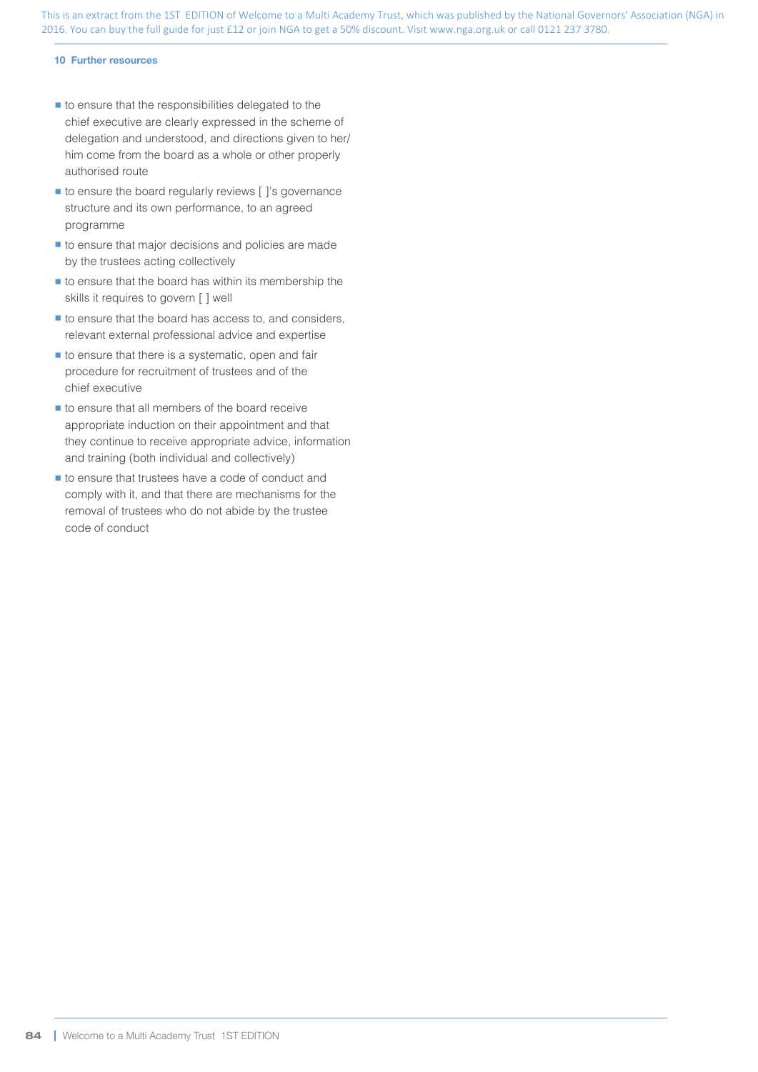#### **10 Further resources**

- to ensure that the responsibilities delegated to the chief executive are clearly expressed in the scheme of delegation and understood, and directions given to her/ him come from the board as a whole or other properly authorised route
- to ensure the board regularly reviews [ ]'s governance structure and its own performance, to an agreed programme
- to ensure that major decisions and policies are made by the trustees acting collectively
- $\blacksquare$  to ensure that the board has within its membership the skills it requires to govern [ ] well
- to ensure that the board has access to, and considers, relevant external professional advice and expertise
- § to ensure that there is a systematic, open and fair procedure for recruitment of trustees and of the chief executive
- to ensure that all members of the board receive appropriate induction on their appointment and that they continue to receive appropriate advice, information and training (both individual and collectively)
- to ensure that trustees have a code of conduct and comply with it, and that there are mechanisms for the removal of trustees who do not abide by the trustee code of conduct